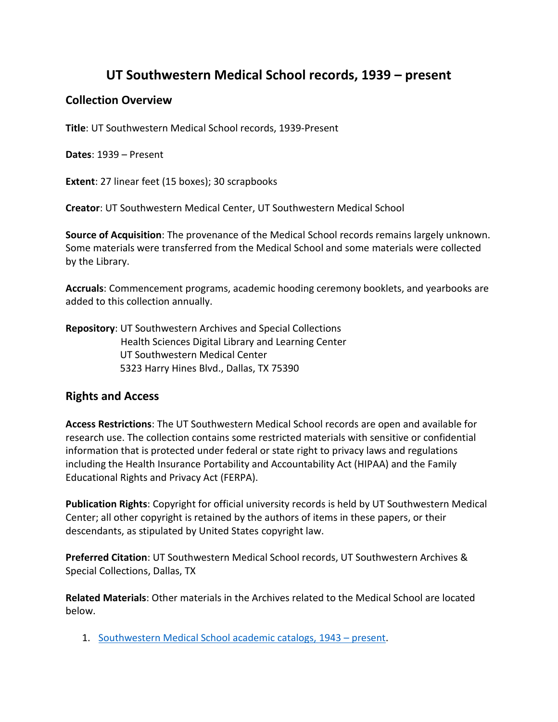# **UT Southwestern Medical School records, 1939 – present**

# **Collection Overview**

**Title**: UT Southwestern Medical School records, 1939-Present

**Dates**: 1939 – Present

**Extent**: 27 linear feet (15 boxes); 30 scrapbooks

**Creator**: UT Southwestern Medical Center, UT Southwestern Medical School

**Source of Acquisition**: The provenance of the Medical School records remains largely unknown. Some materials were transferred from the Medical School and some materials were collected by the Library.

**Accruals**: Commencement programs, academic hooding ceremony booklets, and yearbooks are added to this collection annually.

**Repository**: UT Southwestern Archives and Special Collections Health Sciences Digital Library and Learning Center UT Southwestern Medical Center 5323 Harry Hines Blvd., Dallas, TX 75390

# **Rights and Access**

**Access Restrictions**: The UT Southwestern Medical School records are open and available for research use. The collection contains some restricted materials with sensitive or confidential information that is protected under federal or state right to privacy laws and regulations including the Health Insurance Portability and Accountability Act (HIPAA) and the Family Educational Rights and Privacy Act (FERPA).

**Publication Rights**: Copyright for official university records is held by UT Southwestern Medical Center; all other copyright is retained by the authors of items in these papers, or their descendants, as stipulated by United States copyright law.

**Preferred Citation**: UT Southwestern Medical School records, UT Southwestern Archives & Special Collections, Dallas, TX

**Related Materials**: Other materials in the Archives related to the Medical School are located below.

1. [Southwestern Medical School academic catalogs,](https://utswm.bywatersolutions.com/cgi-bin/koha/opac-shelves.pl?op=view&shelfnumber=23&sortfield=itemcallnumber) 1943 – present.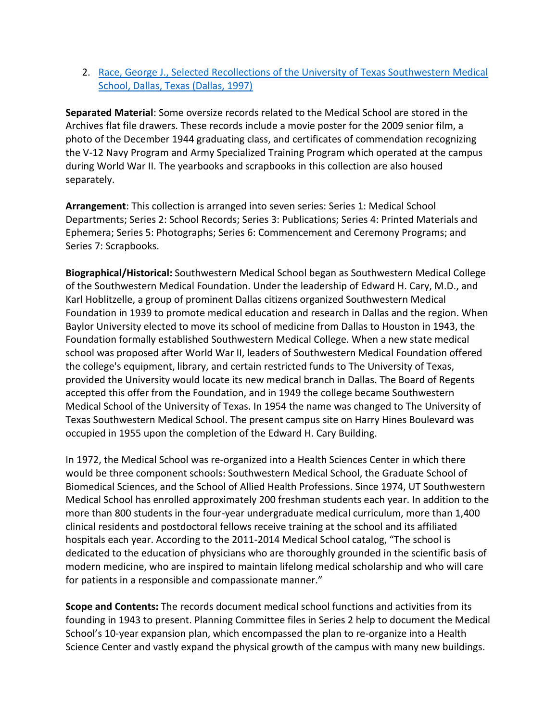2. [Race, George J., Selected Recollections of the University of Texas Southwestern Medical](https://utswmed-ir.tdl.org/handle/2152.5/3249)  [School, Dallas, Texas \(Dallas, 1997\)](https://utswmed-ir.tdl.org/handle/2152.5/3249)

**Separated Material**: Some oversize records related to the Medical School are stored in the Archives flat file drawers. These records include a movie poster for the 2009 senior film, a photo of the December 1944 graduating class, and certificates of commendation recognizing the V-12 Navy Program and Army Specialized Training Program which operated at the campus during World War II. The yearbooks and scrapbooks in this collection are also housed separately.

**Arrangement**: This collection is arranged into seven series: Series 1: Medical School Departments; Series 2: School Records; Series 3: Publications; Series 4: Printed Materials and Ephemera; Series 5: Photographs; Series 6: Commencement and Ceremony Programs; and Series 7: Scrapbooks.

**Biographical/Historical:** Southwestern Medical School began as Southwestern Medical College of the Southwestern Medical Foundation. Under the leadership of Edward H. Cary, M.D., and Karl Hoblitzelle, a group of prominent Dallas citizens organized Southwestern Medical Foundation in 1939 to promote medical education and research in Dallas and the region. When Baylor University elected to move its school of medicine from Dallas to Houston in 1943, the Foundation formally established Southwestern Medical College. When a new state medical school was proposed after World War II, leaders of Southwestern Medical Foundation offered the college's equipment, library, and certain restricted funds to The University of Texas, provided the University would locate its new medical branch in Dallas. The Board of Regents accepted this offer from the Foundation, and in 1949 the college became Southwestern Medical School of the University of Texas. In 1954 the name was changed to The University of Texas Southwestern Medical School. The present campus site on Harry Hines Boulevard was occupied in 1955 upon the completion of the Edward H. Cary Building.

In 1972, the Medical School was re-organized into a Health Sciences Center in which there would be three component schools: Southwestern Medical School, the Graduate School of Biomedical Sciences, and the School of Allied Health Professions. Since 1974, UT Southwestern Medical School has enrolled approximately 200 freshman students each year. In addition to the more than 800 students in the four-year undergraduate medical curriculum, more than 1,400 clinical residents and postdoctoral fellows receive training at the school and its affiliated hospitals each year. According to the 2011-2014 Medical School catalog, "The school is dedicated to the education of physicians who are thoroughly grounded in the scientific basis of modern medicine, who are inspired to maintain lifelong medical scholarship and who will care for patients in a responsible and compassionate manner."

**Scope and Contents:** The records document medical school functions and activities from its founding in 1943 to present. Planning Committee files in Series 2 help to document the Medical School's 10-year expansion plan, which encompassed the plan to re-organize into a Health Science Center and vastly expand the physical growth of the campus with many new buildings.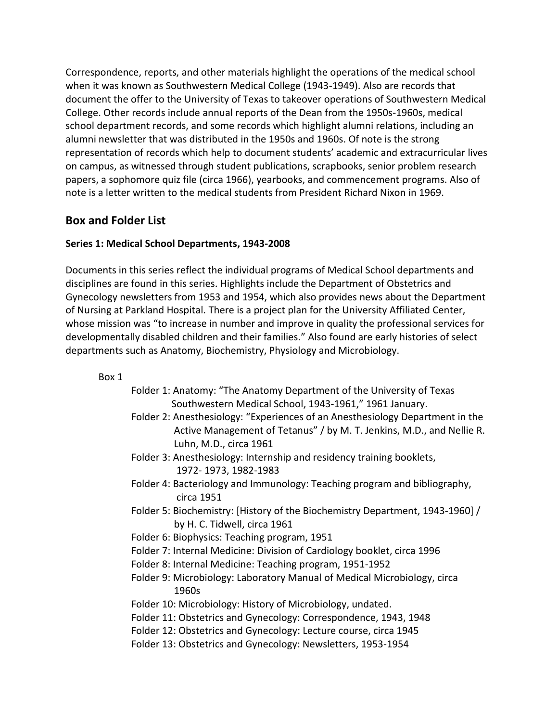Correspondence, reports, and other materials highlight the operations of the medical school when it was known as Southwestern Medical College (1943-1949). Also are records that document the offer to the University of Texas to takeover operations of Southwestern Medical College. Other records include annual reports of the Dean from the 1950s-1960s, medical school department records, and some records which highlight alumni relations, including an alumni newsletter that was distributed in the 1950s and 1960s. Of note is the strong representation of records which help to document students' academic and extracurricular lives on campus, as witnessed through student publications, scrapbooks, senior problem research papers, a sophomore quiz file (circa 1966), yearbooks, and commencement programs. Also of note is a letter written to the medical students from President Richard Nixon in 1969.

# **Box and Folder List**

# **Series 1: Medical School Departments, 1943-2008**

Documents in this series reflect the individual programs of Medical School departments and disciplines are found in this series. Highlights include the Department of Obstetrics and Gynecology newsletters from 1953 and 1954, which also provides news about the Department of Nursing at Parkland Hospital. There is a project plan for the University Affiliated Center, whose mission was "to increase in number and improve in quality the professional services for developmentally disabled children and their families." Also found are early histories of select departments such as Anatomy, Biochemistry, Physiology and Microbiology.

- Folder 1: Anatomy: "The Anatomy Department of the University of Texas Southwestern Medical School, 1943-1961," 1961 January.
- Folder 2: Anesthesiology: "Experiences of an Anesthesiology Department in the Active Management of Tetanus" / by M. T. Jenkins, M.D., and Nellie R. Luhn, M.D., circa 1961
- Folder 3: Anesthesiology: Internship and residency training booklets, 1972- 1973, 1982-1983
- Folder 4: Bacteriology and Immunology: Teaching program and bibliography, circa 1951
- Folder 5: Biochemistry: [History of the Biochemistry Department, 1943-1960] / by H. C. Tidwell, circa 1961
- Folder 6: Biophysics: Teaching program, 1951
- Folder 7: Internal Medicine: Division of Cardiology booklet, circa 1996
- Folder 8: Internal Medicine: Teaching program, 1951-1952
- Folder 9: Microbiology: Laboratory Manual of Medical Microbiology, circa 1960s
- Folder 10: Microbiology: History of Microbiology, undated.
- Folder 11: Obstetrics and Gynecology: Correspondence, 1943, 1948
- Folder 12: Obstetrics and Gynecology: Lecture course, circa 1945
- Folder 13: Obstetrics and Gynecology: Newsletters, 1953-1954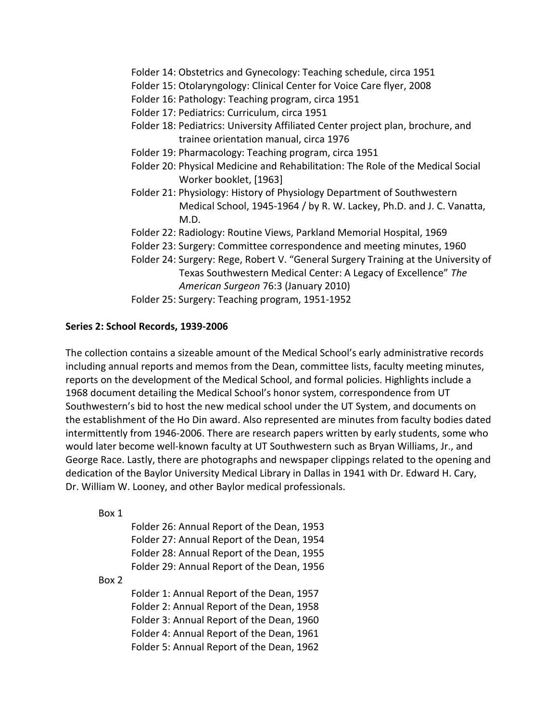Folder 14: Obstetrics and Gynecology: Teaching schedule, circa 1951

- Folder 15: Otolaryngology: Clinical Center for Voice Care flyer, 2008
- Folder 16: Pathology: Teaching program, circa 1951
- Folder 17: Pediatrics: Curriculum, circa 1951
- Folder 18: Pediatrics: University Affiliated Center project plan, brochure, and trainee orientation manual, circa 1976
- Folder 19: Pharmacology: Teaching program, circa 1951
- Folder 20: Physical Medicine and Rehabilitation: The Role of the Medical Social Worker booklet, [1963]
- Folder 21: Physiology: History of Physiology Department of Southwestern Medical School, 1945-1964 / by R. W. Lackey, Ph.D. and J. C. Vanatta, M.D.
- Folder 22: Radiology: Routine Views, Parkland Memorial Hospital, 1969
- Folder 23: Surgery: Committee correspondence and meeting minutes, 1960
- Folder 24: Surgery: Rege, Robert V. "General Surgery Training at the University of Texas Southwestern Medical Center: A Legacy of Excellence" *The American Surgeon* 76:3 (January 2010)
- Folder 25: Surgery: Teaching program, 1951-1952

# **Series 2: School Records, 1939-2006**

The collection contains a sizeable amount of the Medical School's early administrative records including annual reports and memos from the Dean, committee lists, faculty meeting minutes, reports on the development of the Medical School, and formal policies. Highlights include a 1968 document detailing the Medical School's honor system, correspondence from UT Southwestern's bid to host the new medical school under the UT System, and documents on the establishment of the Ho Din award. Also represented are minutes from faculty bodies dated intermittently from 1946-2006. There are research papers written by early students, some who would later become well-known faculty at UT Southwestern such as Bryan Williams, Jr., and George Race. Lastly, there are photographs and newspaper clippings related to the opening and dedication of the Baylor University Medical Library in Dallas in 1941 with Dr. Edward H. Cary, Dr. William W. Looney, and other Baylor medical professionals.

Box 1

Folder 26: Annual Report of the Dean, 1953 Folder 27: Annual Report of the Dean, 1954 Folder 28: Annual Report of the Dean, 1955 Folder 29: Annual Report of the Dean, 1956

## Box 2

Folder 1: Annual Report of the Dean, 1957 Folder 2: Annual Report of the Dean, 1958 Folder 3: Annual Report of the Dean, 1960 Folder 4: Annual Report of the Dean, 1961 Folder 5: Annual Report of the Dean, 1962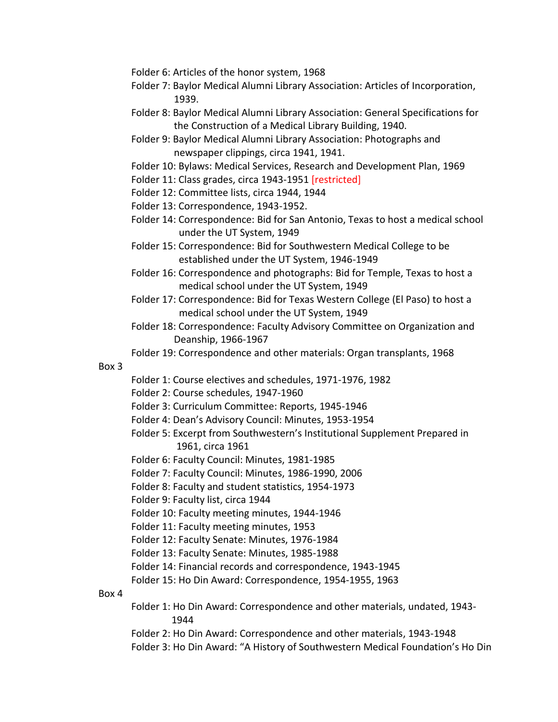- Folder 6: Articles of the honor system, 1968
- Folder 7: Baylor Medical Alumni Library Association: Articles of Incorporation, 1939.
- Folder 8: Baylor Medical Alumni Library Association: General Specifications for the Construction of a Medical Library Building, 1940.
- Folder 9: Baylor Medical Alumni Library Association: Photographs and newspaper clippings, circa 1941, 1941.
- Folder 10: Bylaws: Medical Services, Research and Development Plan, 1969

Folder 11: Class grades, circa 1943-1951 [restricted]

- Folder 12: Committee lists, circa 1944, 1944
- Folder 13: Correspondence, 1943-1952.
- Folder 14: Correspondence: Bid for San Antonio, Texas to host a medical school under the UT System, 1949
- Folder 15: Correspondence: Bid for Southwestern Medical College to be established under the UT System, 1946-1949
- Folder 16: Correspondence and photographs: Bid for Temple, Texas to host a medical school under the UT System, 1949
- Folder 17: Correspondence: Bid for Texas Western College (El Paso) to host a medical school under the UT System, 1949
- Folder 18: Correspondence: Faculty Advisory Committee on Organization and Deanship, 1966-1967

Folder 19: Correspondence and other materials: Organ transplants, 1968

#### Box 3

- Folder 1: Course electives and schedules, 1971-1976, 1982
- Folder 2: Course schedules, 1947-1960
- Folder 3: Curriculum Committee: Reports, 1945-1946
- Folder 4: Dean's Advisory Council: Minutes, 1953-1954
- Folder 5: Excerpt from Southwestern's Institutional Supplement Prepared in 1961, circa 1961
- Folder 6: Faculty Council: Minutes, 1981-1985
- Folder 7: Faculty Council: Minutes, 1986-1990, 2006
- Folder 8: Faculty and student statistics, 1954-1973
- Folder 9: Faculty list, circa 1944
- Folder 10: Faculty meeting minutes, 1944-1946
- Folder 11: Faculty meeting minutes, 1953
- Folder 12: Faculty Senate: Minutes, 1976-1984
- Folder 13: Faculty Senate: Minutes, 1985-1988
- Folder 14: Financial records and correspondence, 1943-1945
- Folder 15: Ho Din Award: Correspondence, 1954-1955, 1963

- Folder 1: Ho Din Award: Correspondence and other materials, undated, 1943- 1944
- Folder 2: Ho Din Award: Correspondence and other materials, 1943-1948
- Folder 3: Ho Din Award: "A History of Southwestern Medical Foundation's Ho Din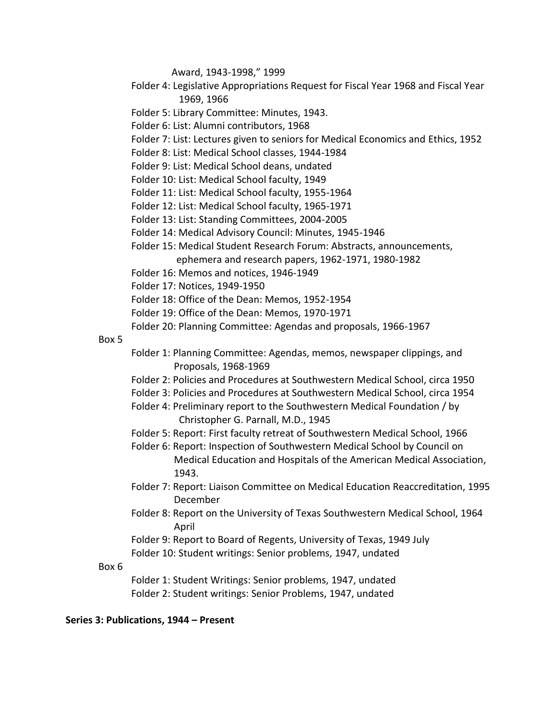Award, 1943-1998," 1999

- Folder 4: Legislative Appropriations Request for Fiscal Year 1968 and Fiscal Year 1969, 1966
- Folder 5: Library Committee: Minutes, 1943.
- Folder 6: List: Alumni contributors, 1968
- Folder 7: List: Lectures given to seniors for Medical Economics and Ethics, 1952
- Folder 8: List: Medical School classes, 1944-1984
- Folder 9: List: Medical School deans, undated
- Folder 10: List: Medical School faculty, 1949
- Folder 11: List: Medical School faculty, 1955-1964
- Folder 12: List: Medical School faculty, 1965-1971
- Folder 13: List: Standing Committees, 2004-2005
- Folder 14: Medical Advisory Council: Minutes, 1945-1946
- Folder 15: Medical Student Research Forum: Abstracts, announcements, ephemera and research papers, 1962-1971, 1980-1982
- Folder 16: Memos and notices, 1946-1949
- Folder 17: Notices, 1949-1950
- Folder 18: Office of the Dean: Memos, 1952-1954
- Folder 19: Office of the Dean: Memos, 1970-1971
- Folder 20: Planning Committee: Agendas and proposals, 1966-1967

#### Box 5

- Folder 1: Planning Committee: Agendas, memos, newspaper clippings, and Proposals, 1968-1969
- Folder 2: Policies and Procedures at Southwestern Medical School, circa 1950
- Folder 3: Policies and Procedures at Southwestern Medical School, circa 1954
- Folder 4: Preliminary report to the Southwestern Medical Foundation / by Christopher G. Parnall, M.D., 1945
- Folder 5: Report: First faculty retreat of Southwestern Medical School, 1966
- Folder 6: Report: Inspection of Southwestern Medical School by Council on Medical Education and Hospitals of the American Medical Association, 1943.
- Folder 7: Report: Liaison Committee on Medical Education Reaccreditation, 1995 December
- Folder 8: Report on the University of Texas Southwestern Medical School, 1964 April
- Folder 9: Report to Board of Regents, University of Texas, 1949 July

Folder 10: Student writings: Senior problems, 1947, undated

#### Box 6

Folder 1: Student Writings: Senior problems, 1947, undated Folder 2: Student writings: Senior Problems, 1947, undated

#### **Series 3: Publications, 1944 – Present**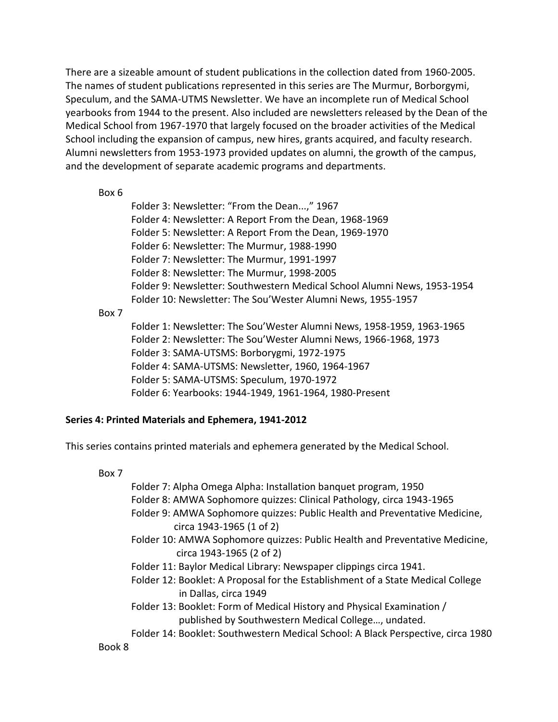There are a sizeable amount of student publications in the collection dated from 1960-2005. The names of student publications represented in this series are The Murmur, Borborgymi, Speculum, and the SAMA-UTMS Newsletter. We have an incomplete run of Medical School yearbooks from 1944 to the present. Also included are newsletters released by the Dean of the Medical School from 1967-1970 that largely focused on the broader activities of the Medical School including the expansion of campus, new hires, grants acquired, and faculty research. Alumni newsletters from 1953-1973 provided updates on alumni, the growth of the campus, and the development of separate academic programs and departments.

## Box 6

Folder 3: Newsletter: "From the Dean...," 1967 Folder 4: Newsletter: A Report From the Dean, 1968-1969 Folder 5: Newsletter: A Report From the Dean, 1969-1970 Folder 6: Newsletter: The Murmur, 1988-1990 Folder 7: Newsletter: The Murmur, 1991-1997 Folder 8: Newsletter: The Murmur, 1998-2005 Folder 9: Newsletter: Southwestern Medical School Alumni News, 1953-1954 Folder 10: Newsletter: The Sou'Wester Alumni News, 1955-1957

## Box 7

Folder 1: Newsletter: The Sou'Wester Alumni News, 1958-1959, 1963-1965 Folder 2: Newsletter: The Sou'Wester Alumni News, 1966-1968, 1973 Folder 3: SAMA-UTSMS: Borborygmi, 1972-1975 Folder 4: SAMA-UTSMS: Newsletter, 1960, 1964-1967 Folder 5: SAMA-UTSMS: Speculum, 1970-1972 Folder 6: Yearbooks: 1944-1949, 1961-1964, 1980-Present

# **Series 4: Printed Materials and Ephemera, 1941-2012**

This series contains printed materials and ephemera generated by the Medical School.

# Box 7

Folder 7: Alpha Omega Alpha: Installation banquet program, 1950

- Folder 8: AMWA Sophomore quizzes: Clinical Pathology, circa 1943-1965
- Folder 9: AMWA Sophomore quizzes: Public Health and Preventative Medicine, circa 1943-1965 (1 of 2)
- Folder 10: AMWA Sophomore quizzes: Public Health and Preventative Medicine, circa 1943-1965 (2 of 2)
- Folder 11: Baylor Medical Library: Newspaper clippings circa 1941.
- Folder 12: Booklet: A Proposal for the Establishment of a State Medical College in Dallas, circa 1949
- Folder 13: Booklet: Form of Medical History and Physical Examination / published by Southwestern Medical College…, undated.
- Folder 14: Booklet: Southwestern Medical School: A Black Perspective, circa 1980

# Book 8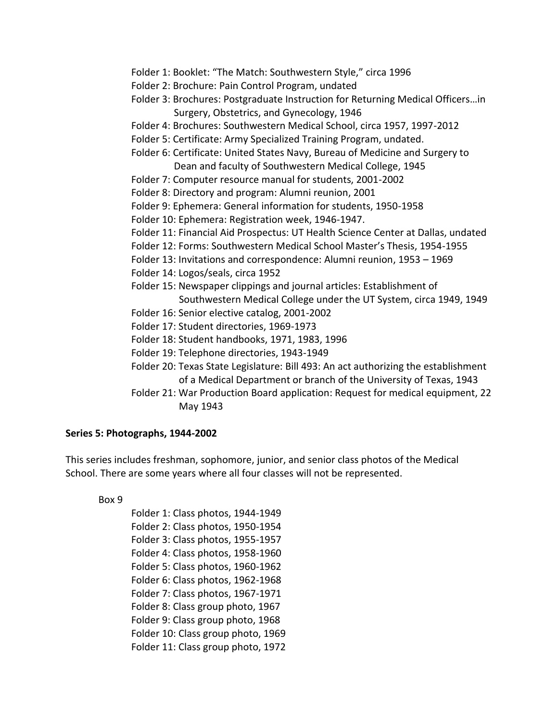- Folder 1: Booklet: "The Match: Southwestern Style," circa 1996
- Folder 2: Brochure: Pain Control Program, undated
- Folder 3: Brochures: Postgraduate Instruction for Returning Medical Officers…in Surgery, Obstetrics, and Gynecology, 1946
- Folder 4: Brochures: Southwestern Medical School, circa 1957, 1997-2012
- Folder 5: Certificate: Army Specialized Training Program, undated.
- Folder 6: Certificate: United States Navy, Bureau of Medicine and Surgery to Dean and faculty of Southwestern Medical College, 1945
- Folder 7: Computer resource manual for students, 2001-2002
- Folder 8: Directory and program: Alumni reunion, 2001
- Folder 9: Ephemera: General information for students, 1950-1958
- Folder 10: Ephemera: Registration week, 1946-1947.
- Folder 11: Financial Aid Prospectus: UT Health Science Center at Dallas, undated
- Folder 12: Forms: Southwestern Medical School Master's Thesis, 1954-1955
- Folder 13: Invitations and correspondence: Alumni reunion, 1953 1969
- Folder 14: Logos/seals, circa 1952
- Folder 15: Newspaper clippings and journal articles: Establishment of Southwestern Medical College under the UT System, circa 1949, 1949
- Folder 16: Senior elective catalog, 2001-2002
- Folder 17: Student directories, 1969-1973
- Folder 18: Student handbooks, 1971, 1983, 1996
- Folder 19: Telephone directories, 1943-1949
- Folder 20: Texas State Legislature: Bill 493: An act authorizing the establishment of a Medical Department or branch of the University of Texas, 1943
- Folder 21: War Production Board application: Request for medical equipment, 22 May 1943

#### **Series 5: Photographs, 1944-2002**

This series includes freshman, sophomore, junior, and senior class photos of the Medical School. There are some years where all four classes will not be represented.

Box 9

Folder 1: Class photos, 1944-1949 Folder 2: Class photos, 1950-1954 Folder 3: Class photos, 1955-1957 Folder 4: Class photos, 1958-1960 Folder 5: Class photos, 1960-1962 Folder 6: Class photos, 1962-1968 Folder 7: Class photos, 1967-1971 Folder 8: Class group photo, 1967 Folder 9: Class group photo, 1968 Folder 10: Class group photo, 1969 Folder 11: Class group photo, 1972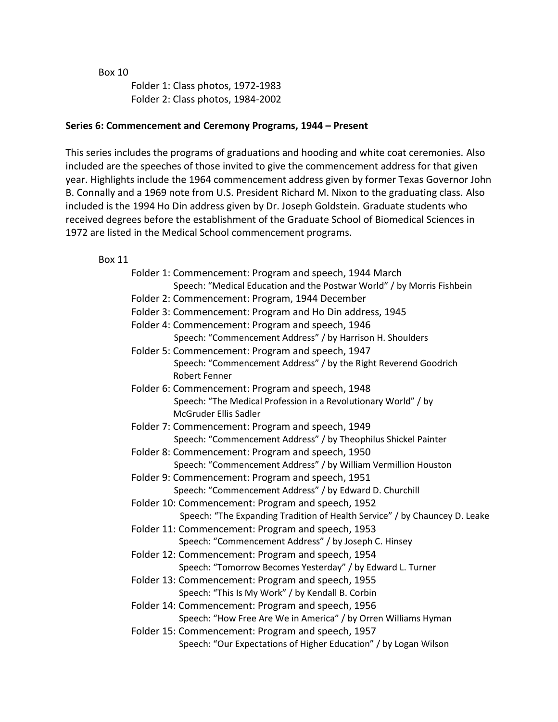Box 10

Folder 1: Class photos, 1972-1983 Folder 2: Class photos, 1984-2002

# **Series 6: Commencement and Ceremony Programs, 1944 – Present**

This series includes the programs of graduations and hooding and white coat ceremonies. Also included are the speeches of those invited to give the commencement address for that given year. Highlights include the 1964 commencement address given by former Texas Governor John B. Connally and a 1969 note from U.S. President Richard M. Nixon to the graduating class. Also included is the 1994 Ho Din address given by Dr. Joseph Goldstein. Graduate students who received degrees before the establishment of the Graduate School of Biomedical Sciences in 1972 are listed in the Medical School commencement programs.

| Folder 1: Commencement: Program and speech, 1944 March                                  |
|-----------------------------------------------------------------------------------------|
| Speech: "Medical Education and the Postwar World" / by Morris Fishbein                  |
| Folder 2: Commencement: Program, 1944 December                                          |
| Folder 3: Commencement: Program and Ho Din address, 1945                                |
| Folder 4: Commencement: Program and speech, 1946                                        |
| Speech: "Commencement Address" / by Harrison H. Shoulders                               |
| Folder 5: Commencement: Program and speech, 1947                                        |
| Speech: "Commencement Address" / by the Right Reverend Goodrich<br><b>Robert Fenner</b> |
| Folder 6: Commencement: Program and speech, 1948                                        |
| Speech: "The Medical Profession in a Revolutionary World" / by<br>McGruder Ellis Sadler |
| Folder 7: Commencement: Program and speech, 1949                                        |
| Speech: "Commencement Address" / by Theophilus Shickel Painter                          |
| Folder 8: Commencement: Program and speech, 1950                                        |
| Speech: "Commencement Address" / by William Vermillion Houston                          |
| Folder 9: Commencement: Program and speech, 1951                                        |
| Speech: "Commencement Address" / by Edward D. Churchill                                 |
| Folder 10: Commencement: Program and speech, 1952                                       |
| Speech: "The Expanding Tradition of Health Service" / by Chauncey D. Leake              |
| Folder 11: Commencement: Program and speech, 1953                                       |
| Speech: "Commencement Address" / by Joseph C. Hinsey                                    |
| Folder 12: Commencement: Program and speech, 1954                                       |
| Speech: "Tomorrow Becomes Yesterday" / by Edward L. Turner                              |
| Folder 13: Commencement: Program and speech, 1955                                       |
| Speech: "This Is My Work" / by Kendall B. Corbin                                        |
| Folder 14: Commencement: Program and speech, 1956                                       |
| Speech: "How Free Are We in America" / by Orren Williams Hyman                          |
| Folder 15: Commencement: Program and speech, 1957                                       |
| Speech: "Our Expectations of Higher Education" / by Logan Wilson                        |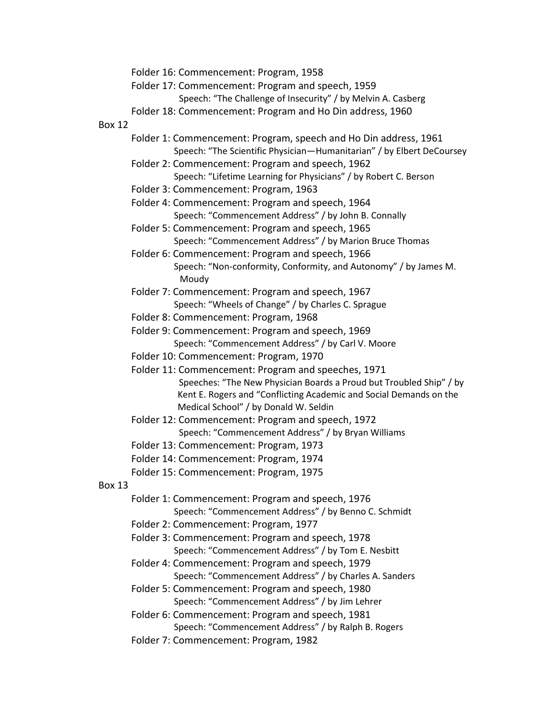Folder 16: Commencement: Program, 1958

- Folder 17: Commencement: Program and speech, 1959
	- Speech: "The Challenge of Insecurity" / by Melvin A. Casberg
- Folder 18: Commencement: Program and Ho Din address, 1960

#### Box 12

- Folder 1: Commencement: Program, speech and Ho Din address, 1961 Speech: "The Scientific Physician—Humanitarian" / by Elbert DeCoursey
- Folder 2: Commencement: Program and speech, 1962 Speech: "Lifetime Learning for Physicians" / by Robert C. Berson
- Folder 3: Commencement: Program, 1963
- Folder 4: Commencement: Program and speech, 1964 Speech: "Commencement Address" / by John B. Connally
- Folder 5: Commencement: Program and speech, 1965 Speech: "Commencement Address" / by Marion Bruce Thomas
- Folder 6: Commencement: Program and speech, 1966 Speech: "Non-conformity, Conformity, and Autonomy" / by James M. Moudy
- Folder 7: Commencement: Program and speech, 1967 Speech: "Wheels of Change" / by Charles C. Sprague
- Folder 8: Commencement: Program, 1968
- Folder 9: Commencement: Program and speech, 1969 Speech: "Commencement Address" / by Carl V. Moore
- Folder 10: Commencement: Program, 1970
- Folder 11: Commencement: Program and speeches, 1971 Speeches: "The New Physician Boards a Proud but Troubled Ship" / by Kent E. Rogers and "Conflicting Academic and Social Demands on the Medical School" / by Donald W. Seldin
- Folder 12: Commencement: Program and speech, 1972 Speech: "Commencement Address" / by Bryan Williams
- Folder 13: Commencement: Program, 1973
- Folder 14: Commencement: Program, 1974

Folder 15: Commencement: Program, 1975

- Folder 1: Commencement: Program and speech, 1976 Speech: "Commencement Address" / by Benno C. Schmidt
- Folder 2: Commencement: Program, 1977
- Folder 3: Commencement: Program and speech, 1978 Speech: "Commencement Address" / by Tom E. Nesbitt
- Folder 4: Commencement: Program and speech, 1979
	- Speech: "Commencement Address" / by Charles A. Sanders
- Folder 5: Commencement: Program and speech, 1980 Speech: "Commencement Address" / by Jim Lehrer
- Folder 6: Commencement: Program and speech, 1981 Speech: "Commencement Address" / by Ralph B. Rogers
- Folder 7: Commencement: Program, 1982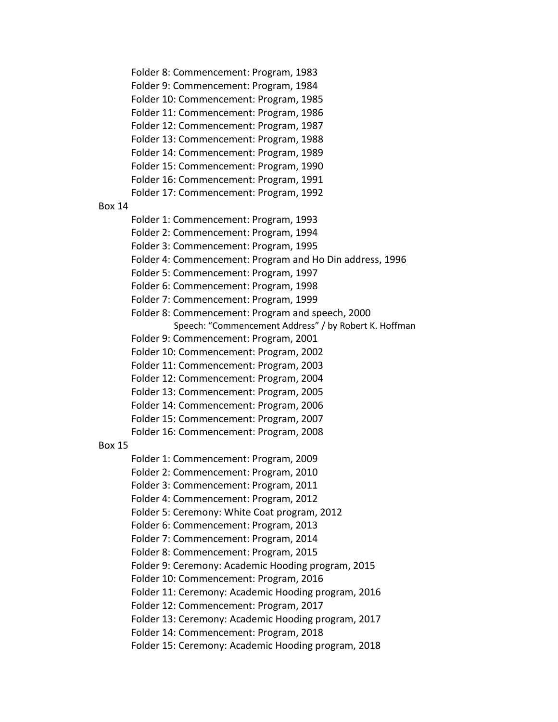Folder 8: Commencement: Program, 1983 Folder 9: Commencement: Program, 1984 Folder 10: Commencement: Program, 1985 Folder 11: Commencement: Program, 1986 Folder 12: Commencement: Program, 1987 Folder 13: Commencement: Program, 1988 Folder 14: Commencement: Program, 1989 Folder 15: Commencement: Program, 1990 Folder 16: Commencement: Program, 1991 Folder 17: Commencement: Program, 1992 Box 14 Folder 1: Commencement: Program, 1993 Folder 2: Commencement: Program, 1994 Folder 3: Commencement: Program, 1995 Folder 4: Commencement: Program and Ho Din address, 1996 Folder 5: Commencement: Program, 1997 Folder 6: Commencement: Program, 1998 Folder 7: Commencement: Program, 1999 Folder 8: Commencement: Program and speech, 2000 Speech: "Commencement Address" / by Robert K. Hoffman Folder 9: Commencement: Program, 2001 Folder 10: Commencement: Program, 2002 Folder 11: Commencement: Program, 2003 Folder 12: Commencement: Program, 2004 Folder 13: Commencement: Program, 2005 Folder 14: Commencement: Program, 2006 Folder 15: Commencement: Program, 2007 Folder 16: Commencement: Program, 2008 Box 15 Folder 1: Commencement: Program, 2009 Folder 2: Commencement: Program, 2010 Folder 3: Commencement: Program, 2011 Folder 4: Commencement: Program, 2012 Folder 5: Ceremony: White Coat program, 2012 Folder 6: Commencement: Program, 2013 Folder 7: Commencement: Program, 2014 Folder 8: Commencement: Program, 2015 Folder 9: Ceremony: Academic Hooding program, 2015 Folder 10: Commencement: Program, 2016 Folder 11: Ceremony: Academic Hooding program, 2016 Folder 12: Commencement: Program, 2017 Folder 13: Ceremony: Academic Hooding program, 2017 Folder 14: Commencement: Program, 2018 Folder 15: Ceremony: Academic Hooding program, 2018